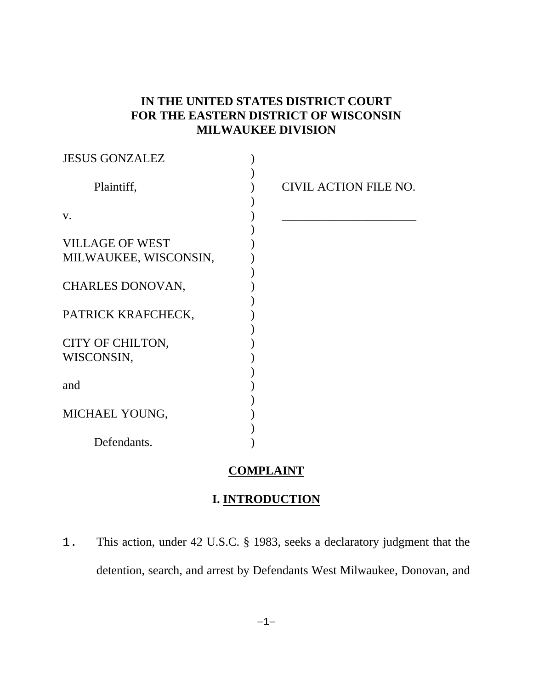## **IN THE UNITED STATES DISTRICT COURT FOR THE EASTERN DISTRICT OF WISCONSIN MILWAUKEE DIVISION**

| <b>JESUS GONZALEZ</b>  |                       |
|------------------------|-----------------------|
| Plaintiff,             | CIVIL ACTION FILE NO. |
| V.                     |                       |
| <b>VILLAGE OF WEST</b> |                       |
| MILWAUKEE, WISCONSIN,  |                       |
| CHARLES DONOVAN,       |                       |
| PATRICK KRAFCHECK,     |                       |
| CITY OF CHILTON,       |                       |
| WISCONSIN,             |                       |
|                        |                       |
| and                    |                       |
| MICHAEL YOUNG,         |                       |
|                        |                       |
| Defendants.            |                       |

## **COMPLAINT**

### **I. INTRODUCTION**

1. This action, under 42 U.S.C. § 1983, seeks a declaratory judgment that the detention, search, and arrest by Defendants West Milwaukee, Donovan, and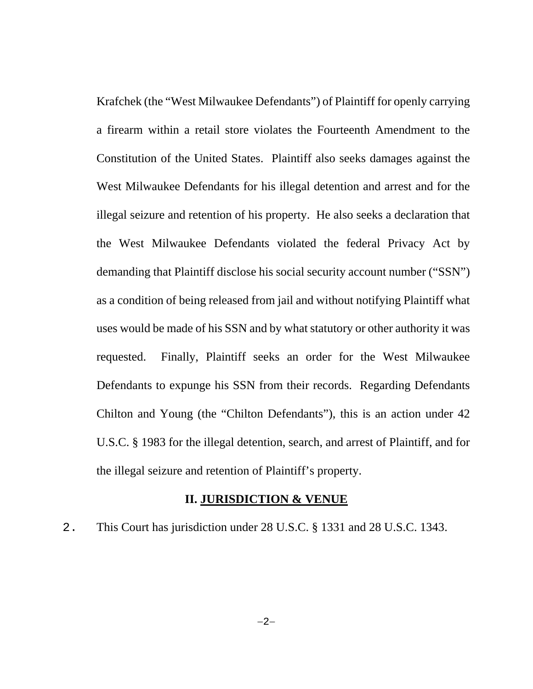Krafchek (the "West Milwaukee Defendants") of Plaintiff for openly carrying a firearm within a retail store violates the Fourteenth Amendment to the Constitution of the United States. Plaintiff also seeks damages against the West Milwaukee Defendants for his illegal detention and arrest and for the illegal seizure and retention of his property. He also seeks a declaration that the West Milwaukee Defendants violated the federal Privacy Act by demanding that Plaintiff disclose his social security account number ("SSN") as a condition of being released from jail and without notifying Plaintiff what uses would be made of his SSN and by what statutory or other authority it was requested. Finally, Plaintiff seeks an order for the West Milwaukee Defendants to expunge his SSN from their records. Regarding Defendants Chilton and Young (the "Chilton Defendants"), this is an action under 42 U.S.C. § 1983 for the illegal detention, search, and arrest of Plaintiff, and for the illegal seizure and retention of Plaintiff's property.

#### **II. JURISDICTION & VENUE**

2. This Court has jurisdiction under 28 U.S.C. § 1331 and 28 U.S.C. 1343.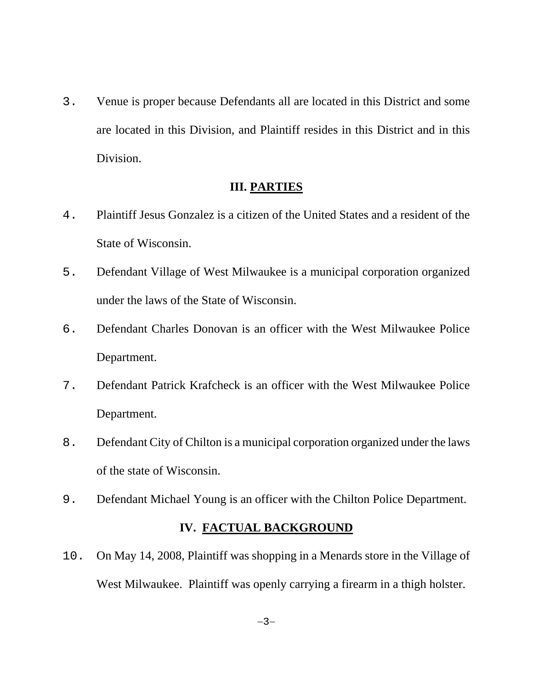3. Venue is proper because Defendants all are located in this District and some are located in this Division, and Plaintiff resides in this District and in this Division.

### **III. PARTIES**

- 4. Plaintiff Jesus Gonzalez is a citizen of the United States and a resident of the State of Wisconsin.
- 5. Defendant Village of West Milwaukee is a municipal corporation organized under the laws of the State of Wisconsin.
- 6. Defendant Charles Donovan is an officer with the West Milwaukee Police Department.
- 7. Defendant Patrick Krafcheck is an officer with the West Milwaukee Police Department.
- 8. Defendant City of Chilton is a municipal corporation organized under the laws of the state of Wisconsin.
- 9. Defendant Michael Young is an officer with the Chilton Police Department.

## **IV. FACTUAL BACKGROUND**

10. On May 14, 2008, Plaintiff was shopping in a Menards store in the Village of West Milwaukee. Plaintiff was openly carrying a firearm in a thigh holster.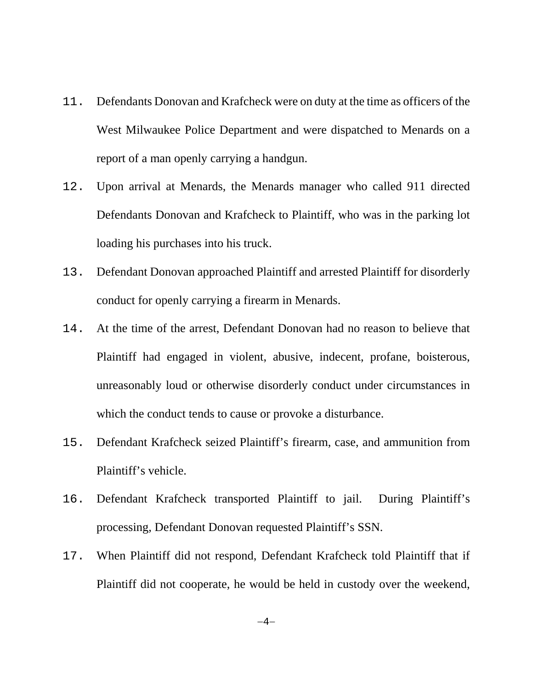- 11. Defendants Donovan and Krafcheck were on duty at the time as officers of the West Milwaukee Police Department and were dispatched to Menards on a report of a man openly carrying a handgun.
- 12. Upon arrival at Menards, the Menards manager who called 911 directed Defendants Donovan and Krafcheck to Plaintiff, who was in the parking lot loading his purchases into his truck.
- 13. Defendant Donovan approached Plaintiff and arrested Plaintiff for disorderly conduct for openly carrying a firearm in Menards.
- 14. At the time of the arrest, Defendant Donovan had no reason to believe that Plaintiff had engaged in violent, abusive, indecent, profane, boisterous, unreasonably loud or otherwise disorderly conduct under circumstances in which the conduct tends to cause or provoke a disturbance.
- 15. Defendant Krafcheck seized Plaintiff's firearm, case, and ammunition from Plaintiff's vehicle.
- 16. Defendant Krafcheck transported Plaintiff to jail. During Plaintiff's processing, Defendant Donovan requested Plaintiff's SSN.
- 17. When Plaintiff did not respond, Defendant Krafcheck told Plaintiff that if Plaintiff did not cooperate, he would be held in custody over the weekend,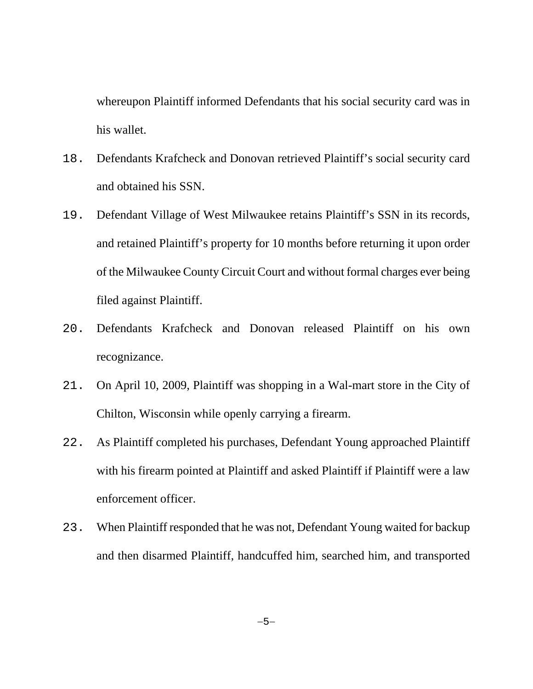whereupon Plaintiff informed Defendants that his social security card was in his wallet.

- 18. Defendants Krafcheck and Donovan retrieved Plaintiff's social security card and obtained his SSN.
- 19. Defendant Village of West Milwaukee retains Plaintiff's SSN in its records, and retained Plaintiff's property for 10 months before returning it upon order of the Milwaukee County Circuit Court and without formal charges ever being filed against Plaintiff.
- 20. Defendants Krafcheck and Donovan released Plaintiff on his own recognizance.
- 21. On April 10, 2009, Plaintiff was shopping in a Wal-mart store in the City of Chilton, Wisconsin while openly carrying a firearm.
- 22. As Plaintiff completed his purchases, Defendant Young approached Plaintiff with his firearm pointed at Plaintiff and asked Plaintiff if Plaintiff were a law enforcement officer.
- 23. When Plaintiff responded that he was not, Defendant Young waited for backup and then disarmed Plaintiff, handcuffed him, searched him, and transported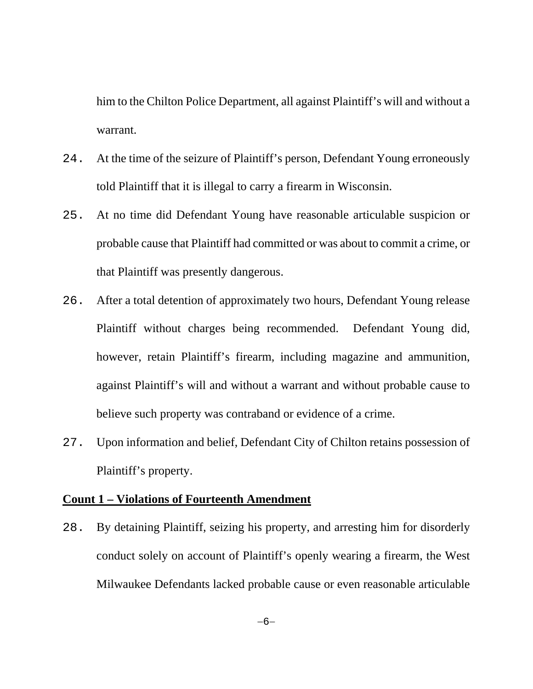him to the Chilton Police Department, all against Plaintiff's will and without a warrant.

- 24. At the time of the seizure of Plaintiff's person, Defendant Young erroneously told Plaintiff that it is illegal to carry a firearm in Wisconsin.
- 25. At no time did Defendant Young have reasonable articulable suspicion or probable cause that Plaintiff had committed or was about to commit a crime, or that Plaintiff was presently dangerous.
- 26. After a total detention of approximately two hours, Defendant Young release Plaintiff without charges being recommended. Defendant Young did, however, retain Plaintiff's firearm, including magazine and ammunition, against Plaintiff's will and without a warrant and without probable cause to believe such property was contraband or evidence of a crime.
- 27. Upon information and belief, Defendant City of Chilton retains possession of Plaintiff's property.

### **Count 1 – Violations of Fourteenth Amendment**

28. By detaining Plaintiff, seizing his property, and arresting him for disorderly conduct solely on account of Plaintiff's openly wearing a firearm, the West Milwaukee Defendants lacked probable cause or even reasonable articulable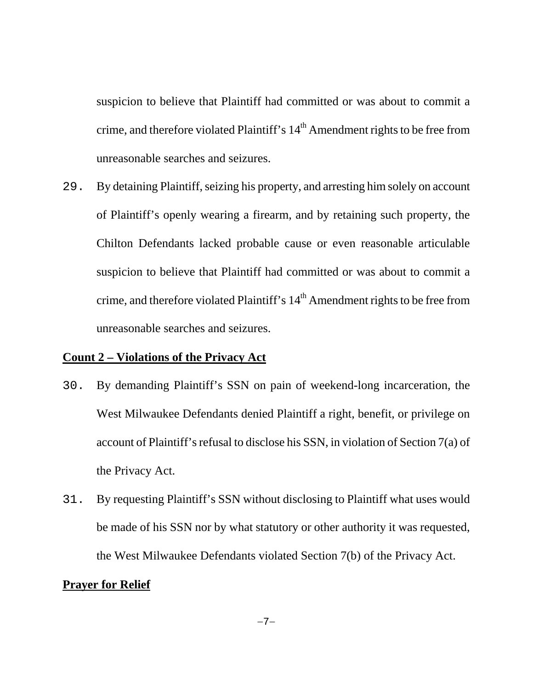suspicion to believe that Plaintiff had committed or was about to commit a crime, and therefore violated Plaintiff's  $14<sup>th</sup>$  Amendment rights to be free from unreasonable searches and seizures.

29. By detaining Plaintiff, seizing his property, and arresting him solely on account of Plaintiff's openly wearing a firearm, and by retaining such property, the Chilton Defendants lacked probable cause or even reasonable articulable suspicion to believe that Plaintiff had committed or was about to commit a crime, and therefore violated Plaintiff's  $14<sup>th</sup>$  Amendment rights to be free from unreasonable searches and seizures.

#### **Count 2 – Violations of the Privacy Act**

- 30. By demanding Plaintiff's SSN on pain of weekend-long incarceration, the West Milwaukee Defendants denied Plaintiff a right, benefit, or privilege on account of Plaintiff's refusal to disclose his SSN, in violation of Section 7(a) of the Privacy Act.
- 31. By requesting Plaintiff's SSN without disclosing to Plaintiff what uses would be made of his SSN nor by what statutory or other authority it was requested, the West Milwaukee Defendants violated Section 7(b) of the Privacy Act.

### **Prayer for Relief**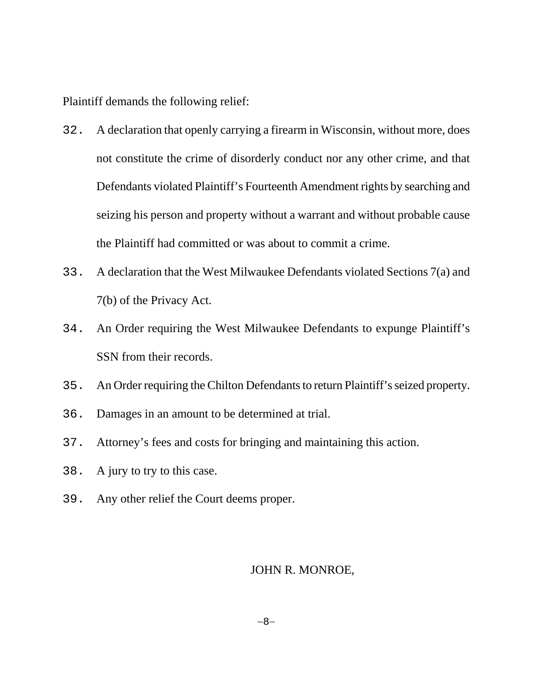Plaintiff demands the following relief:

- 32. A declaration that openly carrying a firearm in Wisconsin, without more, does not constitute the crime of disorderly conduct nor any other crime, and that Defendants violated Plaintiff's Fourteenth Amendment rights by searching and seizing his person and property without a warrant and without probable cause the Plaintiff had committed or was about to commit a crime.
- 33. A declaration that the West Milwaukee Defendants violated Sections 7(a) and 7(b) of the Privacy Act.
- 34. An Order requiring the West Milwaukee Defendants to expunge Plaintiff's SSN from their records.
- 35. An Order requiring the Chilton Defendants to return Plaintiff's seized property.
- 36. Damages in an amount to be determined at trial.
- 37. Attorney's fees and costs for bringing and maintaining this action.
- 38. A jury to try to this case.
- 39. Any other relief the Court deems proper.

### JOHN R. MONROE,